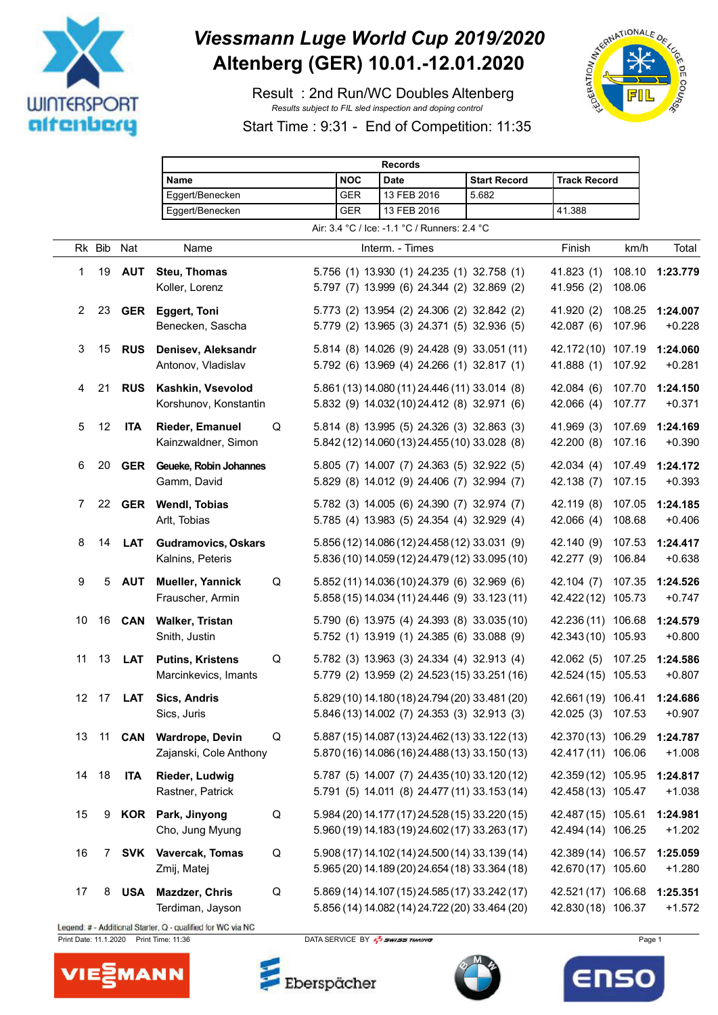

## *Viessmann Luge World Cup 2019/2020* **Altenberg (GER) 10.01.-12.01.2020**

 Result : 2nd Run/WC Doubles Altenberg *Results subject to FIL sled inspection and doping control*



Start Time : 9:31 - End of Competition: 11:35

|                   |        |               | <b>Records</b>                                  |   |            |                                                                                                  |                     |                                          |                  |                      |
|-------------------|--------|---------------|-------------------------------------------------|---|------------|--------------------------------------------------------------------------------------------------|---------------------|------------------------------------------|------------------|----------------------|
|                   |        |               | Name                                            |   | <b>NOC</b> | <b>Date</b>                                                                                      | <b>Start Record</b> | <b>Track Record</b>                      |                  |                      |
|                   |        |               | Eggert/Benecken                                 |   | <b>GER</b> | 13 FEB 2016                                                                                      | 5.682               |                                          |                  |                      |
|                   |        |               | Eggert/Benecken                                 |   | <b>GER</b> | 13 FEB 2016                                                                                      |                     | 41.388                                   |                  |                      |
|                   |        |               |                                                 |   |            | Air: 3.4 °C / Ice: -1.1 °C / Runners: 2.4 °C                                                     |                     |                                          |                  |                      |
|                   | Rk Bib | Nat           | Name                                            |   |            | Interm. - Times                                                                                  |                     | Finish                                   | km/h             | Total                |
| 1                 | 19     | <b>AUT</b>    | <b>Steu, Thomas</b><br>Koller, Lorenz           |   |            | 5.756 (1) 13.930 (1) 24.235 (1) 32.758 (1)<br>5.797 (7) 13.999 (6) 24.344 (2) 32.869 (2)         |                     | 41.823(1)<br>41.956 (2)                  | 108.06           | 108.10 1:23.779      |
| 2                 | 23     | <b>GER</b>    | <b>Eggert, Toni</b><br>Benecken, Sascha         |   |            | 5.773 (2) 13.954 (2) 24.306 (2) 32.842 (2)<br>5.779 (2) 13.965 (3) 24.371 (5) 32.936 (5)         |                     | 41.920 (2)<br>42.087 (6)                 | 108.25<br>107.96 | 1:24.007<br>$+0.228$ |
| 3                 | 15     | <b>RUS</b>    | Denisev, Aleksandr<br>Antonov, Vladislav        |   |            | 5.814 (8) 14.026 (9) 24.428 (9) 33.051 (11)<br>5.792 (6) 13.969 (4) 24.266 (1) 32.817 (1)        |                     | 42.172 (10) 107.19<br>41.888(1)          | 107.92           | 1:24.060<br>$+0.281$ |
| 4                 | 21     | <b>RUS</b>    | Kashkin, Vsevolod<br>Korshunov, Konstantin      |   |            | 5.861 (13) 14.080 (11) 24.446 (11) 33.014 (8)<br>5.832 (9) 14.032 (10) 24.412 (8) 32.971 (6)     |                     | 42.084(6)<br>42.066 (4)                  | 107.70<br>107.77 | 1:24.150<br>$+0.371$ |
| 5                 | 12     | <b>ITA</b>    | <b>Rieder, Emanuel</b><br>Kainzwaldner, Simon   | Q |            | 5.814 (8) 13.995 (5) 24.326 (3) 32.863 (3)<br>5.842 (12) 14.060 (13) 24.455 (10) 33.028 (8)      |                     | 41.969 (3)<br>42.200 (8)                 | 107.69<br>107.16 | 1:24.169<br>$+0.390$ |
| 6                 | 20     | <b>GER</b>    | Geueke, Robin Johannes<br>Gamm, David           |   |            | 5.805 (7) 14.007 (7) 24.363 (5) 32.922 (5)<br>5.829 (8) 14.012 (9) 24.406 (7) 32.994 (7)         |                     | 42.034(4)<br>42.138 (7)                  | 107.49<br>107.15 | 1:24.172<br>$+0.393$ |
| 7                 | 22     |               | <b>GER</b> Wendl, Tobias<br>Arlt, Tobias        |   |            | 5.782 (3) 14.005 (6) 24.390 (7) 32.974 (7)<br>5.785 (4) 13.983 (5) 24.354 (4) 32.929 (4)         |                     | 42.119 (8)<br>42.066(4)                  | 107.05<br>108.68 | 1:24.185<br>$+0.406$ |
| 8                 | 14     | <b>LAT</b>    | <b>Gudramovics, Oskars</b><br>Kalnins, Peteris  |   |            | 5.856 (12) 14.086 (12) 24.458 (12) 33.031 (9)<br>5.836 (10) 14.059 (12) 24.479 (12) 33.095 (10)  |                     | 42.140 (9)<br>42.277 (9)                 | 107.53<br>106.84 | 1:24.417<br>$+0.638$ |
| 9                 | 5      | <b>AUT</b>    | Mueller, Yannick<br>Frauscher, Armin            | Q |            | 5.852 (11) 14.036 (10) 24.379 (6) 32.969 (6)<br>5.858 (15) 14.034 (11) 24.446 (9) 33.123 (11)    |                     | 42.104 (7)<br>42.422 (12) 105.73         | 107.35           | 1:24.526<br>$+0.747$ |
| 10                | 16     | <b>CAN</b>    | <b>Walker, Tristan</b><br>Snith, Justin         |   |            | 5.790 (6) 13.975 (4) 24.393 (8) 33.035 (10)<br>5.752 (1) 13.919 (1) 24.385 (6) 33.088 (9)        |                     | 42.236 (11) 106.68<br>42.343 (10) 105.93 |                  | 1:24.579<br>$+0.800$ |
| 11                | 13     | <b>LAT</b>    | <b>Putins, Kristens</b><br>Marcinkevics, Imants | Q |            | 5.782 (3) 13.963 (3) 24.334 (4) 32.913 (4)<br>5.779 (2) 13.959 (2) 24.523 (15) 33.251 (16)       |                     | 42.062 (5)<br>42.524 (15) 105.53         | 107.25           | 1:24.586<br>$+0.807$ |
| $12 \overline{ }$ | 17     | <b>LAT</b>    | Sics, Andris<br>Sics, Juris                     |   |            | 5.829 (10) 14.180 (18) 24.794 (20) 33.481 (20)<br>5.846 (13) 14.002 (7) 24.353 (3) 32.913 (3)    |                     | 42.661 (19) 106.41 1:24.686<br>42.025(3) | 107.53           | $+0.907$             |
| 13                |        | 11 <b>CAN</b> | Wardrope, Devin<br>Zajanski, Cole Anthony       | Q |            | 5.887 (15) 14.087 (13) 24.462 (13) 33.122 (13)<br>5.870 (16) 14.086 (16) 24.488 (13) 33.150 (13) |                     | 42.370 (13) 106.29<br>42.417 (11) 106.06 |                  | 1:24.787<br>$+1.008$ |
| 14                | 18     | <b>ITA</b>    | <b>Rieder, Ludwig</b><br>Rastner, Patrick       |   |            | 5.787 (5) 14.007 (7) 24.435 (10) 33.120 (12)<br>5.791 (5) 14.011 (8) 24.477 (11) 33.153 (14)     |                     | 42.359 (12) 105.95<br>42.458 (13) 105.47 |                  | 1:24.817<br>$+1.038$ |
| 15                | 9      |               | KOR Park, Jinyong<br>Cho, Jung Myung            | Q |            | 5.984 (20) 14.177 (17) 24.528 (15) 33.220 (15)<br>5.960 (19) 14.183 (19) 24.602 (17) 33.263 (17) |                     | 42.487 (15) 105.61<br>42.494 (14) 106.25 |                  | 1:24.981<br>$+1.202$ |
| 16                |        | 7 SVK         | Vavercak, Tomas<br>Zmij, Matej                  | Q |            | 5.908 (17) 14.102 (14) 24.500 (14) 33.139 (14)<br>5.965 (20) 14.189 (20) 24.654 (18) 33.364 (18) |                     | 42.389 (14) 106.57<br>42.670 (17) 105.60 |                  | 1:25.059<br>$+1.280$ |
| 17                | 8      | <b>USA</b>    | Mazdzer, Chris<br>Terdiman, Jayson              | Q |            | 5.869 (14) 14.107 (15) 24.585 (17) 33.242 (17)<br>5.856 (14) 14.082 (14) 24.722 (20) 33.464 (20) |                     | 42.521 (17) 106.68<br>42.830 (18) 106.37 |                  | 1:25.351<br>$+1.572$ |

Legend: # - Additional Starter, Q - qualified for WC via NC Print Date: 11.1.2020 Print Time: 11:36 DATA SERVICE BY  $\frac{7}{2}$  SWISS TIMING

**MANN** 

**VIE** 

Eberspächer